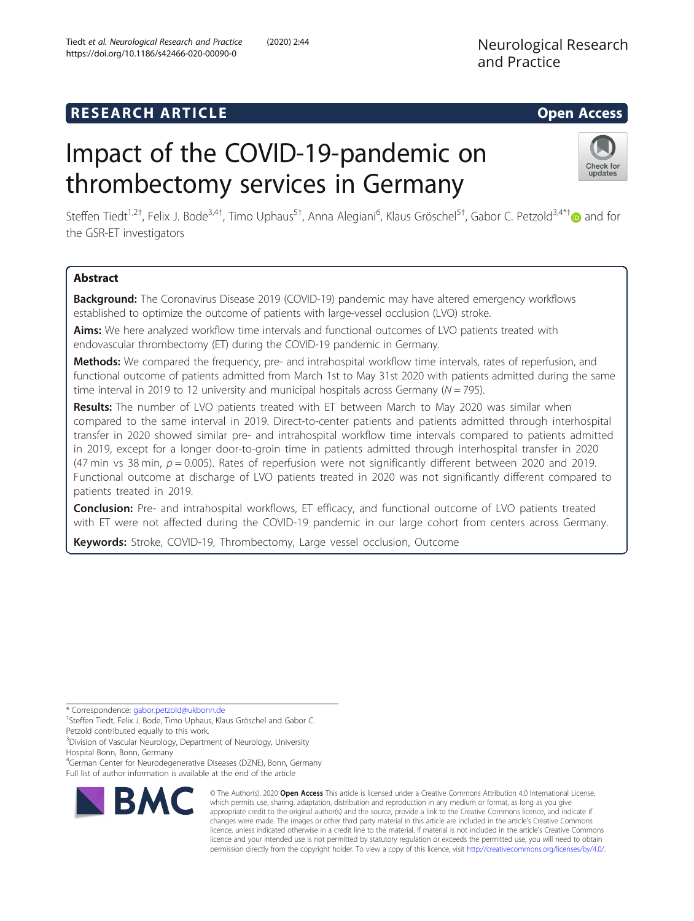# **RESEARCH ARTICLE Example 2014 12:30 The SEAR CH ACCESS**

# Impact of the COVID-19-pandemic on thrombectomy services in Germany



Steffen Tiedt<sup>1,2[†](http://orcid.org/0000-0002-0145-8641)</sup>, Felix J. Bode<sup>3,4†</sup>, Timo Uphaus<sup>5†</sup>, Anna Alegiani<sup>6</sup>, Klaus Gröschel<sup>5†</sup>, Gabor C. Petzold<sup>3,4\*†</sup>@ and for the GSR-ET investigators

## Abstract

Background: The Coronavirus Disease 2019 (COVID-19) pandemic may have altered emergency workflows established to optimize the outcome of patients with large-vessel occlusion (LVO) stroke.

Aims: We here analyzed workflow time intervals and functional outcomes of LVO patients treated with endovascular thrombectomy (ET) during the COVID-19 pandemic in Germany.

Methods: We compared the frequency, pre- and intrahospital workflow time intervals, rates of reperfusion, and functional outcome of patients admitted from March 1st to May 31st 2020 with patients admitted during the same time interval in 2019 to 12 university and municipal hospitals across Germany ( $N = 795$ ).

Results: The number of LVO patients treated with ET between March to May 2020 was similar when compared to the same interval in 2019. Direct-to-center patients and patients admitted through interhospital transfer in 2020 showed similar pre- and intrahospital workflow time intervals compared to patients admitted in 2019, except for a longer door-to-groin time in patients admitted through interhospital transfer in 2020 (47 min vs 38 min,  $p = 0.005$ ). Rates of reperfusion were not significantly different between 2020 and 2019. Functional outcome at discharge of LVO patients treated in 2020 was not significantly different compared to patients treated in 2019.

Conclusion: Pre- and intrahospital workflows, ET efficacy, and functional outcome of LVO patients treated with ET were not affected during the COVID-19 pandemic in our large cohort from centers across Germany.

Keywords: Stroke, COVID-19, Thrombectomy, Large vessel occlusion, Outcome

\* Correspondence: [gabor.petzold@ukbonn.de](mailto:gabor.petzold@ukbonn.de) †

Petzold contributed equally to this work.

<sup>3</sup>Division of Vascular Neurology, Department of Neurology, University Hospital Bonn, Bonn, Germany

4 German Center for Neurodegenerative Diseases (DZNE), Bonn, Germany Full list of author information is available at the end of the article



© The Author(s). 2020 Open Access This article is licensed under a Creative Commons Attribution 4.0 International License, which permits use, sharing, adaptation, distribution and reproduction in any medium or format, as long as you give appropriate credit to the original author(s) and the source, provide a link to the Creative Commons licence, and indicate if changes were made. The images or other third party material in this article are included in the article's Creative Commons licence, unless indicated otherwise in a credit line to the material. If material is not included in the article's Creative Commons licence and your intended use is not permitted by statutory regulation or exceeds the permitted use, you will need to obtain permission directly from the copyright holder. To view a copy of this licence, visit [http://creativecommons.org/licenses/by/4.0/.](http://creativecommons.org/licenses/by/4.0/)

<sup>&</sup>lt;sup>+</sup>Steffen Tiedt, Felix J. Bode, Timo Uphaus, Klaus Gröschel and Gabor C.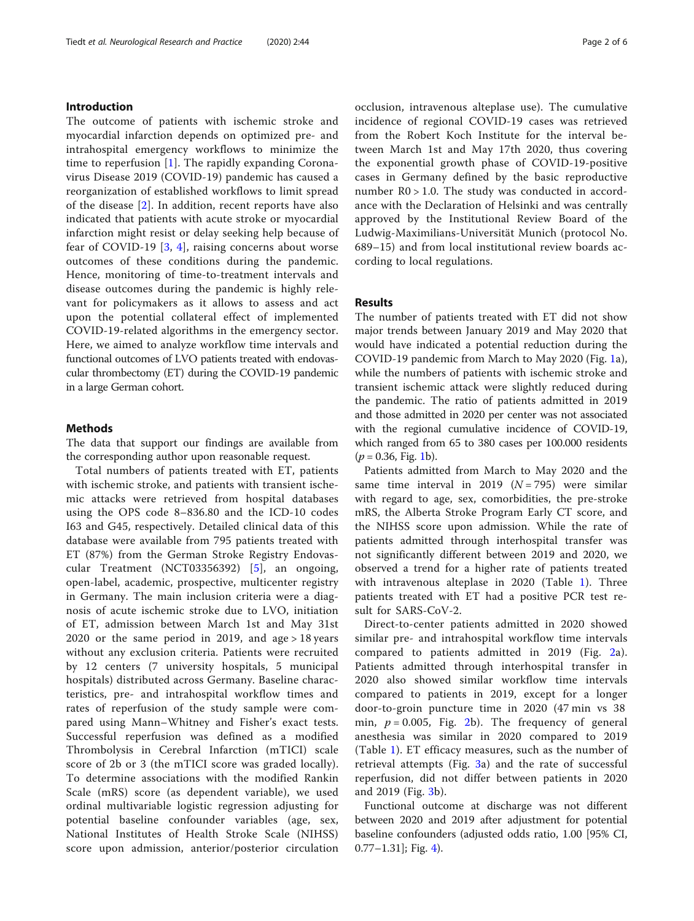#### Introduction

The outcome of patients with ischemic stroke and myocardial infarction depends on optimized pre- and intrahospital emergency workflows to minimize the time to reperfusion [\[1](#page-5-0)]. The rapidly expanding Coronavirus Disease 2019 (COVID-19) pandemic has caused a reorganization of established workflows to limit spread of the disease [\[2](#page-5-0)]. In addition, recent reports have also indicated that patients with acute stroke or myocardial infarction might resist or delay seeking help because of fear of COVID-19 [[3,](#page-5-0) [4\]](#page-5-0), raising concerns about worse outcomes of these conditions during the pandemic. Hence, monitoring of time-to-treatment intervals and disease outcomes during the pandemic is highly relevant for policymakers as it allows to assess and act upon the potential collateral effect of implemented COVID-19-related algorithms in the emergency sector. Here, we aimed to analyze workflow time intervals and functional outcomes of LVO patients treated with endovascular thrombectomy (ET) during the COVID-19 pandemic in a large German cohort.

### Methods

The data that support our findings are available from the corresponding author upon reasonable request.

Total numbers of patients treated with ET, patients with ischemic stroke, and patients with transient ischemic attacks were retrieved from hospital databases using the OPS code 8–836.80 and the ICD-10 codes I63 and G45, respectively. Detailed clinical data of this database were available from 795 patients treated with ET (87%) from the German Stroke Registry Endovascular Treatment (NCT03356392) [[5\]](#page-5-0), an ongoing, open-label, academic, prospective, multicenter registry in Germany. The main inclusion criteria were a diagnosis of acute ischemic stroke due to LVO, initiation of ET, admission between March 1st and May 31st 2020 or the same period in 2019, and age  $> 18$  years without any exclusion criteria. Patients were recruited by 12 centers (7 university hospitals, 5 municipal hospitals) distributed across Germany. Baseline characteristics, pre- and intrahospital workflow times and rates of reperfusion of the study sample were compared using Mann–Whitney and Fisher's exact tests. Successful reperfusion was defined as a modified Thrombolysis in Cerebral Infarction (mTICI) scale score of 2b or 3 (the mTICI score was graded locally). To determine associations with the modified Rankin Scale (mRS) score (as dependent variable), we used ordinal multivariable logistic regression adjusting for potential baseline confounder variables (age, sex, National Institutes of Health Stroke Scale (NIHSS) score upon admission, anterior/posterior circulation occlusion, intravenous alteplase use). The cumulative incidence of regional COVID-19 cases was retrieved from the Robert Koch Institute for the interval between March 1st and May 17th 2020, thus covering the exponential growth phase of COVID-19-positive cases in Germany defined by the basic reproductive number R0 > 1.0. The study was conducted in accordance with the Declaration of Helsinki and was centrally approved by the Institutional Review Board of the Ludwig-Maximilians-Universität Munich (protocol No. 689–15) and from local institutional review boards according to local regulations.

#### Results

The number of patients treated with ET did not show major trends between January 2019 and May 2020 that would have indicated a potential reduction during the COVID-19 pandemic from March to May 2020 (Fig. [1a](#page-2-0)), while the numbers of patients with ischemic stroke and transient ischemic attack were slightly reduced during the pandemic. The ratio of patients admitted in 2019 and those admitted in 2020 per center was not associated with the regional cumulative incidence of COVID-19, which ranged from 65 to 380 cases per 100.000 residents  $(p = 0.36,$  Fig. [1](#page-2-0)b).

Patients admitted from March to May 2020 and the same time interval in 2019  $(N = 795)$  were similar with regard to age, sex, comorbidities, the pre-stroke mRS, the Alberta Stroke Program Early CT score, and the NIHSS score upon admission. While the rate of patients admitted through interhospital transfer was not significantly different between 2019 and 2020, we observed a trend for a higher rate of patients treated with intravenous alteplase in 2020 (Table [1\)](#page-2-0). Three patients treated with ET had a positive PCR test result for SARS-CoV-2.

Direct-to-center patients admitted in 2020 showed similar pre- and intrahospital workflow time intervals compared to patients admitted in 2019 (Fig. [2a](#page-3-0)). Patients admitted through interhospital transfer in 2020 also showed similar workflow time intervals compared to patients in 2019, except for a longer door-to-groin puncture time in 2020 (47 min vs 38 min,  $p = 0.005$ , Fig. [2b](#page-3-0)). The frequency of general anesthesia was similar in 2020 compared to 2019 (Table [1](#page-2-0)). ET efficacy measures, such as the number of retrieval attempts (Fig. [3](#page-4-0)a) and the rate of successful reperfusion, did not differ between patients in 2020 and 2019 (Fig. [3b](#page-4-0)).

Functional outcome at discharge was not different between 2020 and 2019 after adjustment for potential baseline confounders (adjusted odds ratio, 1.00 [95% CI,  $0.77-1.31$ ]; Fig. [4](#page-4-0)).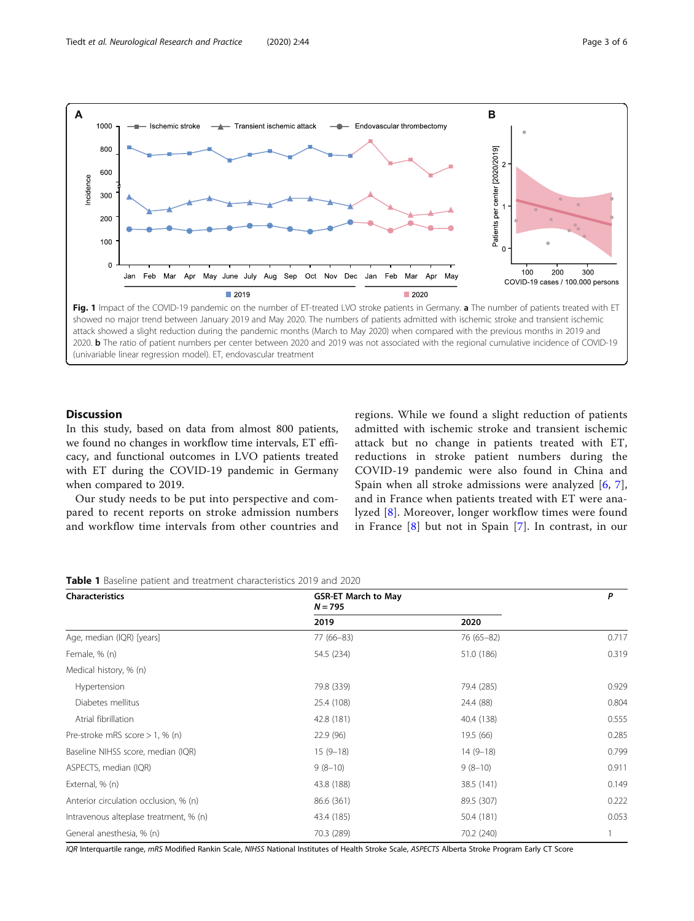<span id="page-2-0"></span>

Discussion

In this study, based on data from almost 800 patients, we found no changes in workflow time intervals, ET efficacy, and functional outcomes in LVO patients treated with ET during the COVID-19 pandemic in Germany when compared to 2019.

Our study needs to be put into perspective and compared to recent reports on stroke admission numbers and workflow time intervals from other countries and regions. While we found a slight reduction of patients admitted with ischemic stroke and transient ischemic attack but no change in patients treated with ET, reductions in stroke patient numbers during the COVID-19 pandemic were also found in China and Spain when all stroke admissions were analyzed [[6](#page-5-0), [7](#page-5-0)], and in France when patients treated with ET were analyzed [[8\]](#page-5-0). Moreover, longer workflow times were found in France [[8\]](#page-5-0) but not in Spain [[7](#page-5-0)]. In contrast, in our

| Table 1 Baseline patient and treatment characteristics 2019 and 2020 |  |
|----------------------------------------------------------------------|--|
|----------------------------------------------------------------------|--|

| Characteristics                        | <b>GSR-ET March to May</b><br>$N = 795$ |            | P     |
|----------------------------------------|-----------------------------------------|------------|-------|
|                                        | 2019                                    | 2020       |       |
| Age, median (IQR) [years]              | $77(66-83)$                             | 76 (65-82) | 0.717 |
| Female, % (n)                          | 54.5 (234)                              | 51.0 (186) | 0.319 |
| Medical history, % (n)                 |                                         |            |       |
| Hypertension                           | 79.8 (339)                              | 79.4 (285) | 0.929 |
| Diabetes mellitus                      | 25.4 (108)                              | 24.4 (88)  | 0.804 |
| Atrial fibrillation                    | 42.8 (181)                              | 40.4 (138) | 0.555 |
| Pre-stroke mRS score $> 1$ , % (n)     | 22.9(96)                                | 19.5(66)   | 0.285 |
| Baseline NIHSS score, median (IQR)     | $15(9-18)$                              | $14(9-18)$ | 0.799 |
| ASPECTS, median (IQR)                  | $9(8-10)$                               | $9(8-10)$  | 0.911 |
| External, % (n)                        | 43.8 (188)                              | 38.5 (141) | 0.149 |
| Anterior circulation occlusion, % (n)  | 86.6 (361)                              | 89.5 (307) | 0.222 |
| Intravenous alteplase treatment, % (n) | 43.4 (185)                              | 50.4 (181) | 0.053 |
| General anesthesia, % (n)              | 70.3 (289)                              | 70.2 (240) | 1     |

IQR Interquartile range, mRS Modified Rankin Scale, NIHSS National Institutes of Health Stroke Scale, ASPECTS Alberta Stroke Program Early CT Score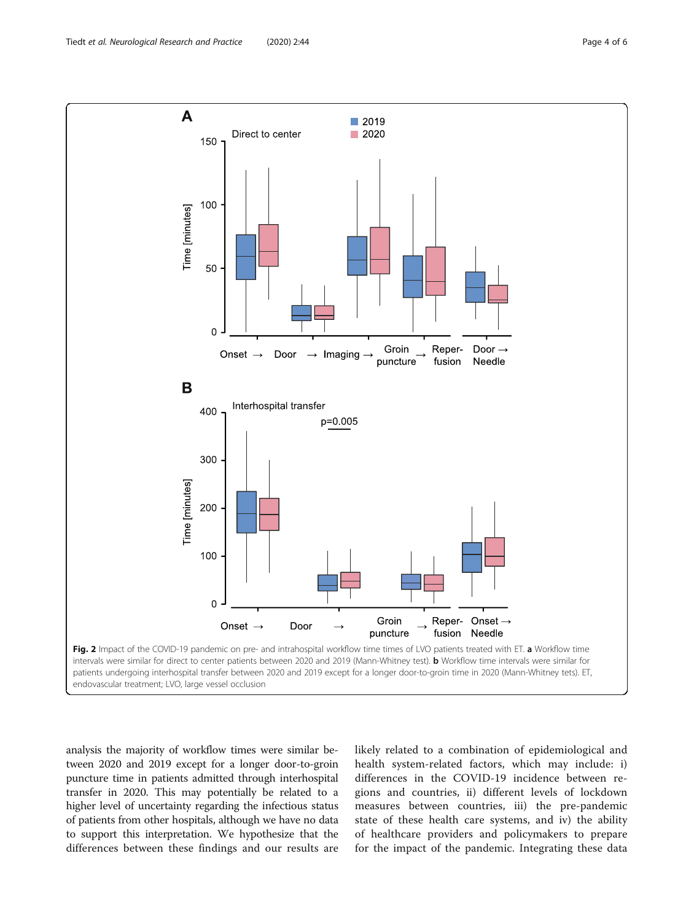<span id="page-3-0"></span>

analysis the majority of workflow times were similar between 2020 and 2019 except for a longer door-to-groin puncture time in patients admitted through interhospital transfer in 2020. This may potentially be related to a higher level of uncertainty regarding the infectious status of patients from other hospitals, although we have no data to support this interpretation. We hypothesize that the differences between these findings and our results are likely related to a combination of epidemiological and health system-related factors, which may include: i) differences in the COVID-19 incidence between regions and countries, ii) different levels of lockdown measures between countries, iii) the pre-pandemic state of these health care systems, and iv) the ability of healthcare providers and policymakers to prepare for the impact of the pandemic. Integrating these data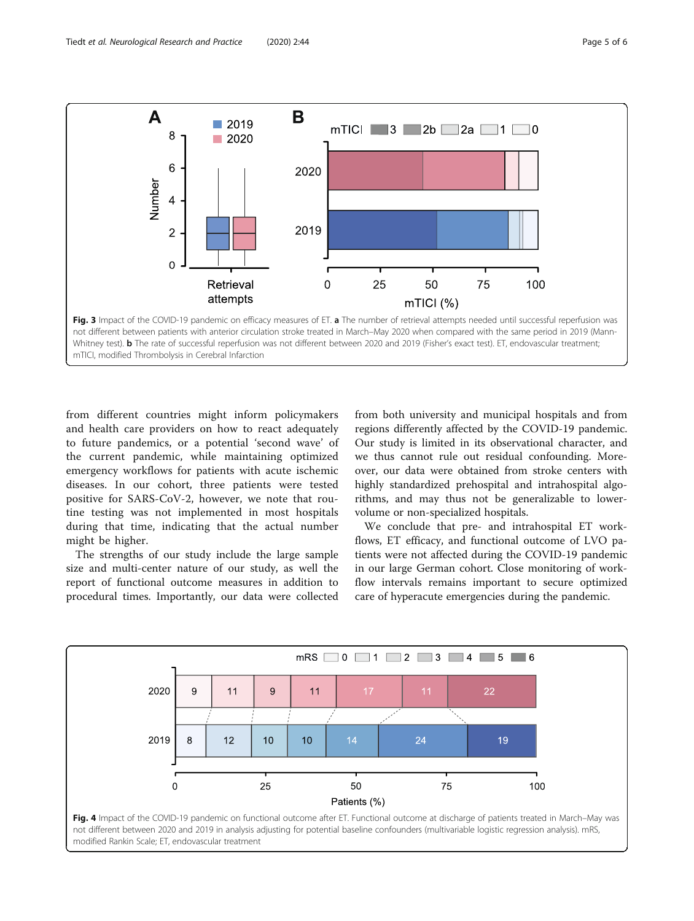<span id="page-4-0"></span>![](_page_4_Figure_2.jpeg)

from different countries might inform policymakers and health care providers on how to react adequately to future pandemics, or a potential 'second wave' of the current pandemic, while maintaining optimized emergency workflows for patients with acute ischemic diseases. In our cohort, three patients were tested positive for SARS-CoV-2, however, we note that routine testing was not implemented in most hospitals during that time, indicating that the actual number might be higher.

The strengths of our study include the large sample size and multi-center nature of our study, as well the report of functional outcome measures in addition to procedural times. Importantly, our data were collected

from both university and municipal hospitals and from regions differently affected by the COVID-19 pandemic. Our study is limited in its observational character, and we thus cannot rule out residual confounding. Moreover, our data were obtained from stroke centers with highly standardized prehospital and intrahospital algorithms, and may thus not be generalizable to lowervolume or non-specialized hospitals.

We conclude that pre- and intrahospital ET workflows, ET efficacy, and functional outcome of LVO patients were not affected during the COVID-19 pandemic in our large German cohort. Close monitoring of workflow intervals remains important to secure optimized care of hyperacute emergencies during the pandemic.

![](_page_4_Figure_7.jpeg)

![](_page_4_Figure_8.jpeg)